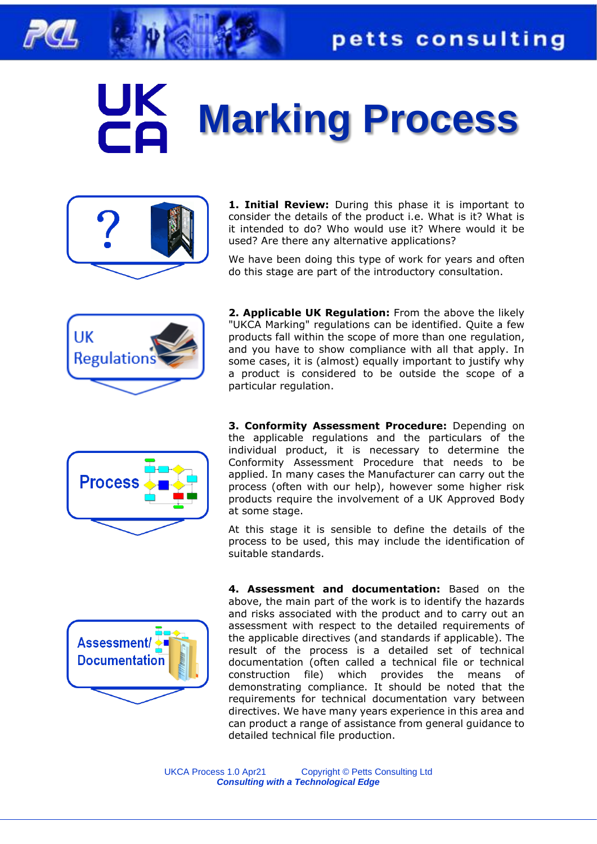

## **Marking Process**



**1. Initial Review:** During this phase it is important to consider the details of the product i.e. What is it? What is it intended to do? Who would use it? Where would it be used? Are there any alternative applications?

We have been doing this type of work for years and often do this stage are part of the introductory consultation.



**2. Applicable UK Regulation:** From the above the likely "UKCA Marking" regulations can be identified. Quite a few products fall within the scope of more than one regulation, and you have to show compliance with all that apply. In some cases, it is (almost) equally important to justify why a product is considered to be outside the scope of a particular regulation.



**3. Conformity Assessment Procedure:** Depending on the applicable regulations and the particulars of the individual product, it is necessary to determine the Conformity Assessment Procedure that needs to be applied. In many cases the Manufacturer can carry out the process (often with our help), however some higher risk products require the involvement of a UK Approved Body at some stage.

At this stage it is sensible to define the details of the process to be used, this may include the identification of suitable standards.



**4. Assessment and documentation:** Based on the above, the main part of the work is to identify the hazards and risks associated with the product and to carry out an assessment with respect to the detailed requirements of the applicable directives (and standards if applicable). The result of the process is a detailed set of technical documentation (often called a technical file or technical construction file) which provides the means of demonstrating compliance. It should be noted that the requirements for technical documentation vary between directives. We have many years experience in this area and can product a range of assistance from general guidance to detailed technical file production.

UKCA Process 1.0 Apr21 Copyright © Petts Consulting Ltd *Consulting with a Technological Edge*